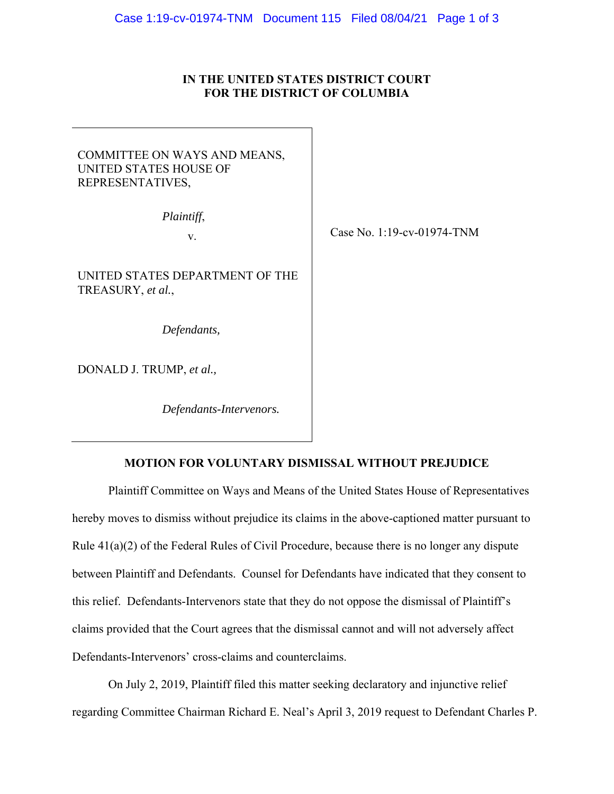### **IN THE UNITED STATES DISTRICT COURT FOR THE DISTRICT OF COLUMBIA**

# COMMITTEE ON WAYS AND MEANS, UNITED STATES HOUSE OF REPRESENTATIVES,

*Plaintiff*,

v.

UNITED STATES DEPARTMENT OF THE TREASURY, *et al.*,

*Defendants,* 

DONALD J. TRUMP, *et al.,* 

*Defendants-Intervenors.* 

# Case No. 1:19-cv-01974-TNM

#### **MOTION FOR VOLUNTARY DISMISSAL WITHOUT PREJUDICE**

Plaintiff Committee on Ways and Means of the United States House of Representatives hereby moves to dismiss without prejudice its claims in the above-captioned matter pursuant to Rule 41(a)(2) of the Federal Rules of Civil Procedure, because there is no longer any dispute between Plaintiff and Defendants. Counsel for Defendants have indicated that they consent to this relief. Defendants-Intervenors state that they do not oppose the dismissal of Plaintiff's claims provided that the Court agrees that the dismissal cannot and will not adversely affect Defendants-Intervenors' cross-claims and counterclaims.

On July 2, 2019, Plaintiff filed this matter seeking declaratory and injunctive relief regarding Committee Chairman Richard E. Neal's April 3, 2019 request to Defendant Charles P.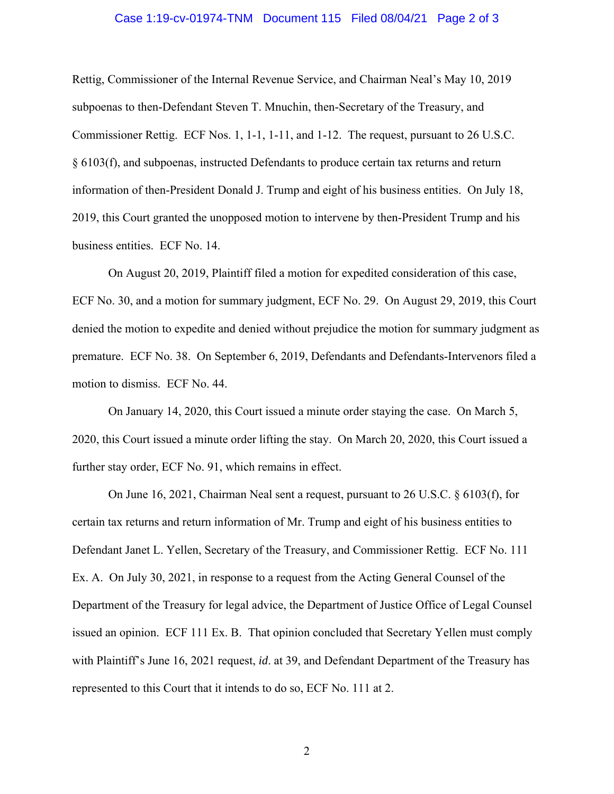#### Case 1:19-cv-01974-TNM Document 115 Filed 08/04/21 Page 2 of 3

Rettig, Commissioner of the Internal Revenue Service, and Chairman Neal's May 10, 2019 subpoenas to then-Defendant Steven T. Mnuchin, then-Secretary of the Treasury, and Commissioner Rettig. ECF Nos. 1, 1-1, 1-11, and 1-12. The request, pursuant to 26 U.S.C. § 6103(f), and subpoenas, instructed Defendants to produce certain tax returns and return information of then-President Donald J. Trump and eight of his business entities. On July 18, 2019, this Court granted the unopposed motion to intervene by then-President Trump and his business entities. ECF No. 14.

On August 20, 2019, Plaintiff filed a motion for expedited consideration of this case, ECF No. 30, and a motion for summary judgment, ECF No. 29. On August 29, 2019, this Court denied the motion to expedite and denied without prejudice the motion for summary judgment as premature. ECF No. 38. On September 6, 2019, Defendants and Defendants-Intervenors filed a motion to dismiss. ECF No. 44.

On January 14, 2020, this Court issued a minute order staying the case. On March 5, 2020, this Court issued a minute order lifting the stay. On March 20, 2020, this Court issued a further stay order, ECF No. 91, which remains in effect.

On June 16, 2021, Chairman Neal sent a request, pursuant to 26 U.S.C. § 6103(f), for certain tax returns and return information of Mr. Trump and eight of his business entities to Defendant Janet L. Yellen, Secretary of the Treasury, and Commissioner Rettig. ECF No. 111 Ex. A. On July 30, 2021, in response to a request from the Acting General Counsel of the Department of the Treasury for legal advice, the Department of Justice Office of Legal Counsel issued an opinion. ECF 111 Ex. B. That opinion concluded that Secretary Yellen must comply with Plaintiff's June 16, 2021 request, *id*. at 39, and Defendant Department of the Treasury has represented to this Court that it intends to do so, ECF No. 111 at 2.

2